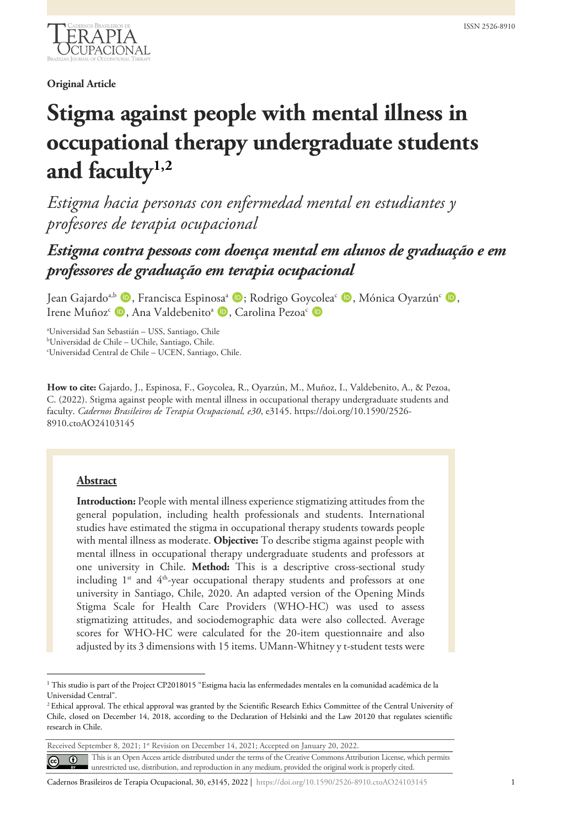

**Original Article**

# **Stigma against people with mental illness in occupational therapy undergraduate students and facult[y1,](#page-9-0)[2](#page-0-0)**

*Estigma hacia personas con enfermedad mental en estudiantes y profesores de terapia ocupacional*

## *Estigma contra pessoas com doença mental em alunos de graduação e em professores de graduação em terapia ocupacional*

Jean Gajardo<sup>a,b</sup> (D, Francisca Espinosa<sup>a</sup> (D; Rodrigo Goycolea<sup>c</sup> (D, Mónica Oyarzún<sup>c</sup> (D, Irene Muñoz<sup>c</sup> **D**, Ana Valdebenito<sup>a</sup> **D**, Carolina Pezoa<sup>c</sup> **D** 

a Universidad San Sebastián – USS, Santiago, Chile b Universidad de Chile – UChile, Santiago, Chile.

c Universidad Central de Chile – UCEN, Santiago, Chile.

**How to cite:** Gajardo, J., Espinosa, F., Goycolea, R., Oyarzún, M., Muñoz, I., Valdebenito, A., & Pezoa, C. (2022). Stigma against people with mental illness in occupational therapy undergraduate students and faculty. *Cadernos Brasileiros de Terapia Ocupacional, e30*, e3145. https://doi.org/10.1590/2526- 8910.ctoAO24103145

#### **Abstract**

**Introduction:** People with mental illness experience stigmatizing attitudes from the general population, including health professionals and students. International studies have estimated the stigma in occupational therapy students towards people with mental illness as moderate. **Objective:** To describe stigma against people with mental illness in occupational therapy undergraduate students and professors at one university in Chile. **Method:** This is a descriptive cross-sectional study including  $1<sup>st</sup>$  and  $4<sup>th</sup>$ -year occupational therapy students and professors at one university in Santiago, Chile, 2020. An adapted version of the Opening Minds Stigma Scale for Health Care Providers (WHO-HC) was used to assess stigmatizing attitudes, and sociodemographic data were also collected. Average scores for WHO-HC were calculated for the 20-item questionnaire and also adjusted by its 3 dimensions with 15 items. UMann-Whitney y t-student tests were

Received September 8, 2021; 1<sup>st</sup> Revision on December 14, 2021; Accepted on January 20, 2022.

This is an Open Access article distributed under the terms of the Creative Commons Attribution License, which permits  $\odot$  $\odot$ unrestricted use, distribution, and reproduction in any medium, provided the original work is properly cited.

Cadernos Brasileiros de Terapia Ocupacional, 30, e3145, 2022 | https://doi.org/10.1590/2526-8910.ctoAO24103145 1

 $1$  This studio is part of the Project CP2018015 "Estigma hacia las enfermedades mentales en la comunidad académica de la Universidad Central".

<span id="page-0-0"></span><sup>2</sup> Ethical approval. The ethical approval was granted by the Scientific Research Ethics Committee of the Central University of Chile, closed on December 14, 2018, according to the Declaration of Helsinki and the Law 20120 that regulates scientific research in Chile.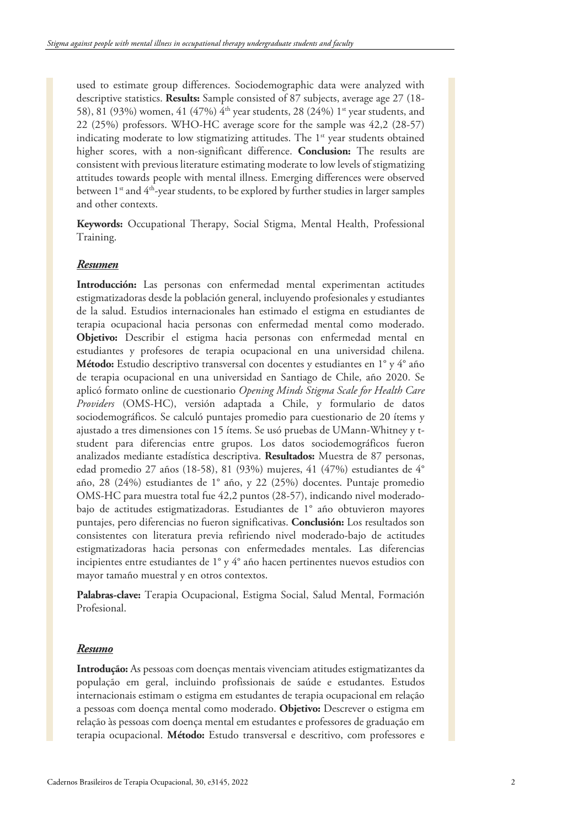used to estimate group differences. Sociodemographic data were analyzed with descriptive statistics. **Results:** Sample consisted of 87 subjects, average age 27 (18- 58), 81 (93%) women, 41 (47%) 4<sup>th</sup> year students, 28 (24%) 1<sup>st</sup> year students, and 22 (25%) professors. WHO-HC average score for the sample was 42,2 (28-57) indicating moderate to low stigmatizing attitudes. The  $1<sup>st</sup>$  year students obtained higher scores, with a non-significant difference. **Conclusion:** The results are consistent with previous literature estimating moderate to low levels of stigmatizing attitudes towards people with mental illness. Emerging differences were observed between  $1^{st}$  and  $4^{th}$ -year students, to be explored by further studies in larger samples and other contexts.

**Keywords:** Occupational Therapy, Social Stigma, Mental Health, Professional Training.

#### *Resumen*

**Introducción:** Las personas con enfermedad mental experimentan actitudes estigmatizadoras desde la población general, incluyendo profesionales y estudiantes de la salud. Estudios internacionales han estimado el estigma en estudiantes de terapia ocupacional hacia personas con enfermedad mental como moderado. **Objetivo:** Describir el estigma hacia personas con enfermedad mental en estudiantes y profesores de terapia ocupacional en una universidad chilena. **Método:** Estudio descriptivo transversal con docentes y estudiantes en 1° y 4° año de terapia ocupacional en una universidad en Santiago de Chile, año 2020. Se aplicó formato online de cuestionario *Opening Minds Stigma Scale for Health Care Providers* (OMS-HC), versión adaptada a Chile, y formulario de datos sociodemográficos. Se calculó puntajes promedio para cuestionario de 20 ítems y ajustado a tres dimensiones con 15 ítems. Se usó pruebas de UMann-Whitney y tstudent para diferencias entre grupos. Los datos sociodemográficos fueron analizados mediante estadística descriptiva. **Resultados:** Muestra de 87 personas, edad promedio 27 años (18-58), 81 (93%) mujeres, 41 (47%) estudiantes de 4° año, 28 (24%) estudiantes de 1° año, y 22 (25%) docentes. Puntaje promedio OMS-HC para muestra total fue 42,2 puntos (28-57), indicando nivel moderadobajo de actitudes estigmatizadoras. Estudiantes de 1° año obtuvieron mayores puntajes, pero diferencias no fueron significativas. **Conclusión:** Los resultados son consistentes con literatura previa refiriendo nivel moderado-bajo de actitudes estigmatizadoras hacia personas con enfermedades mentales. Las diferencias incipientes entre estudiantes de 1° y 4° año hacen pertinentes nuevos estudios con mayor tamaño muestral y en otros contextos.

**Palabras-clave:** Terapia Ocupacional, Estigma Social, Salud Mental, Formación Profesional.

#### *Resumo*

**Introdução:** As pessoas com doenças mentais vivenciam atitudes estigmatizantes da população em geral, incluindo profissionais de saúde e estudantes. Estudos internacionais estimam o estigma em estudantes de terapia ocupacional em relação a pessoas com doença mental como moderado. **Objetivo:** Descrever o estigma em relação às pessoas com doença mental em estudantes e professores de graduação em terapia ocupacional. **Método:** Estudo transversal e descritivo, com professores e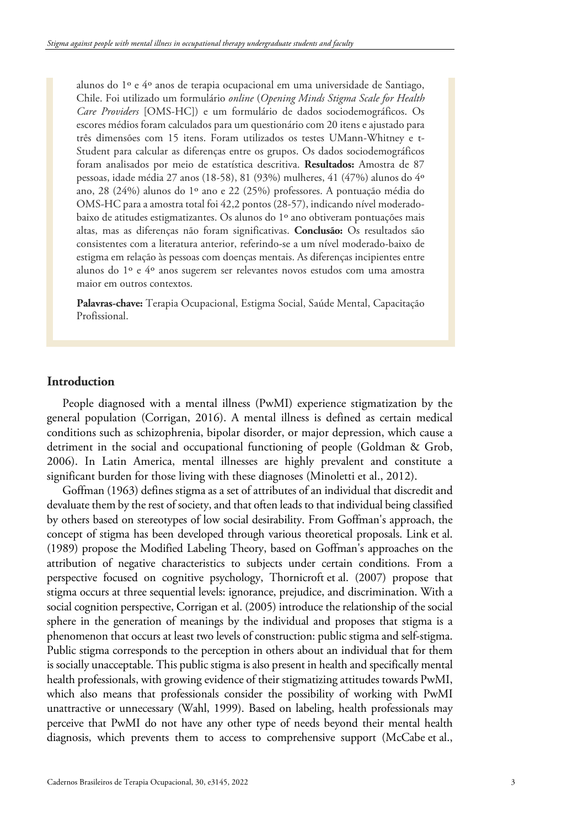alunos do 1º e 4º anos de terapia ocupacional em uma universidade de Santiago, Chile. Foi utilizado um formulário *online* (*Opening Minds Stigma Scale for Health Care Providers* [OMS-HC]) e um formulário de dados sociodemográficos. Os escores médios foram calculados para um questionário com 20 itens e ajustado para três dimensões com 15 itens. Foram utilizados os testes UMann-Whitney e t-Student para calcular as diferenças entre os grupos. Os dados sociodemográficos foram analisados por meio de estatística descritiva. **Resultados:** Amostra de 87 pessoas, idade média 27 anos (18-58), 81 (93%) mulheres, 41 (47%) alunos do 4º ano, 28 (24%) alunos do 1º ano e 22 (25%) professores. A pontuação média do OMS-HC para a amostra total foi 42,2 pontos (28-57), indicando nível moderadobaixo de atitudes estigmatizantes. Os alunos do 1º ano obtiveram pontuações mais altas, mas as diferenças não foram significativas. **Conclusão:** Os resultados são consistentes com a literatura anterior, referindo-se a um nível moderado-baixo de estigma em relação às pessoas com doenças mentais. As diferenças incipientes entre alunos do 1º e 4º anos sugerem ser relevantes novos estudos com uma amostra maior em outros contextos.

**Palavras-chave:** Terapia Ocupacional, Estigma Social, Saúde Mental, Capacitação Profissional.

#### **Introduction**

People diagnosed with a mental illness (PwMI) experience stigmatization by the general population (Corrigan, 2016). A mental illness is defined as certain medical conditions such as schizophrenia, bipolar disorder, or major depression, which cause a detriment in the social and occupational functioning of people (Goldman & Grob, 2006). In Latin America, mental illnesses are highly prevalent and constitute a significant burden for those living with these diagnoses (Minoletti et al., 2012).

Goffman (1963) defines stigma as a set of attributes of an individual that discredit and devaluate them by the rest of society, and that often leads to that individual being classified by others based on stereotypes of low social desirability. From Goffman's approach, the concept of stigma has been developed through various theoretical proposals. Link et al. (1989) propose the Modified Labeling Theory, based on Goffman's approaches on the attribution of negative characteristics to subjects under certain conditions. From a perspective focused on cognitive psychology, Thornicroft et al. (2007) propose that stigma occurs at three sequential levels: ignorance, prejudice, and discrimination. With a social cognition perspective, Corrigan et al. (2005) introduce the relationship of the social sphere in the generation of meanings by the individual and proposes that stigma is a phenomenon that occurs at least two levels of construction: public stigma and self-stigma. Public stigma corresponds to the perception in others about an individual that for them is socially unacceptable. This public stigma is also present in health and specifically mental health professionals, with growing evidence of their stigmatizing attitudes towards PwMI, which also means that professionals consider the possibility of working with PwMI unattractive or unnecessary (Wahl, 1999). Based on labeling, health professionals may perceive that PwMI do not have any other type of needs beyond their mental health diagnosis, which prevents them to access to comprehensive support (McCabe et al.,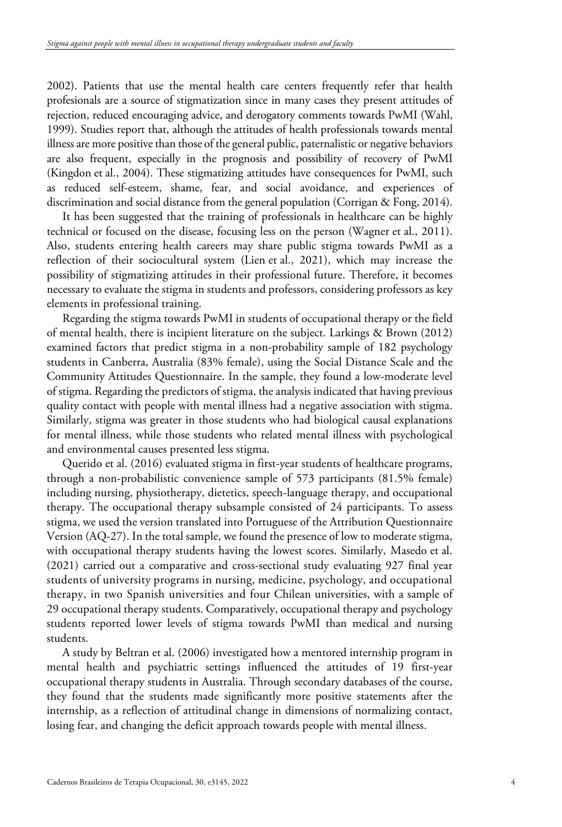2002). Patients that use the mental health care centers frequently refer that health profesionals are a source of stigmatization since in many cases they present attitudes of rejection, reduced encouraging advice, and derogatory comments towards PwMI (Wahl, 1999). Studies report that, although the attitudes of health professionals towards mental illness are more positive than those of the general public, paternalistic or negative behaviors are also frequent, especially in the prognosis and possibility of recovery of PwMI (Kingdon et al., 2004). These stigmatizing attitudes have consequences for PwMI, such as reduced self-esteem, shame, fear, and social avoidance, and experiences of discrimination and social distance from the general population (Corrigan & Fong, 2014).

It has been suggested that the training of professionals in healthcare can be highly technical or focused on the disease, focusing less on the person (Wagner et al., 2011). Also, students entering health careers may share public stigma towards PwMI as a reflection of their sociocultural system (Lien et al., 2021), which may increase the possibility of stigmatizing attitudes in their professional future. Therefore, it becomes necessary to evaluate the stigma in students and professors, considering professors as key elements in professional training.

Regarding the stigma towards PwMI in students of occupational therapy or the field of mental health, there is incipient literature on the subject. Larkings & Brown (2012) examined factors that predict stigma in a non-probability sample of 182 psychology students in Canberra, Australia (83% female), using the Social Distance Scale and the Community Attitudes Questionnaire. In the sample, they found a low-moderate level of stigma. Regarding the predictors of stigma, the analysis indicated that having previous quality contact with people with mental illness had a negative association with stigma. Similarly, stigma was greater in those students who had biological causal explanations for mental illness, while those students who related mental illness with psychological and environmental causes presented less stigma.

Querido et al. (2016) evaluated stigma in first-year students of healthcare programs, through a non-probabilistic convenience sample of 573 participants (81.5% female) including nursing, physiotherapy, dietetics, speech-language therapy, and occupational therapy. The occupational therapy subsample consisted of 24 participants. To assess stigma, we used the version translated into Portuguese of the Attribution Questionnaire Version (AQ-27). In the total sample, we found the presence of low to moderate stigma, with occupational therapy students having the lowest scores. Similarly, Masedo et al. (2021) carried out a comparative and cross-sectional study evaluating 927 final year students of university programs in nursing, medicine, psychology, and occupational therapy, in two Spanish universities and four Chilean universities, with a sample of 29 occupational therapy students. Comparatively, occupational therapy and psychology students reported lower levels of stigma towards PwMI than medical and nursing students.

A study by Beltran et al. (2006) investigated how a mentored internship program in mental health and psychiatric settings influenced the attitudes of 19 first-year occupational therapy students in Australia. Through secondary databases of the course, they found that the students made significantly more positive statements after the internship, as a reflection of attitudinal change in dimensions of normalizing contact, losing fear, and changing the deficit approach towards people with mental illness.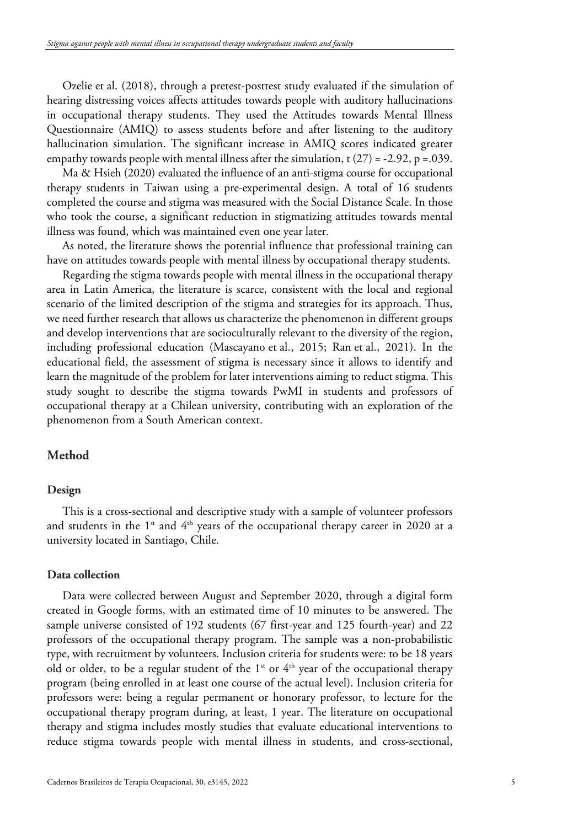Ozelie et al. (2018), through a pretest-posttest study evaluated if the simulation of hearing distressing voices affects attitudes towards people with auditory hallucinations in occupational therapy students. They used the Attitudes towards Mental Illness Questionnaire (AMIQ) to assess students before and after listening to the auditory hallucination simulation. The significant increase in AMIQ scores indicated greater empathy towards people with mental illness after the simulation,  $t$  (27) = -2.92, p = 0.039.

Ma & Hsieh (2020) evaluated the influence of an anti-stigma course for occupational therapy students in Taiwan using a pre-experimental design. A total of 16 students completed the course and stigma was measured with the Social Distance Scale. In those who took the course, a significant reduction in stigmatizing attitudes towards mental illness was found, which was maintained even one year later.

As noted, the literature shows the potential influence that professional training can have on attitudes towards people with mental illness by occupational therapy students.

Regarding the stigma towards people with mental illness in the occupational therapy area in Latin America, the literature is scarce, consistent with the local and regional scenario of the limited description of the stigma and strategies for its approach. Thus, we need further research that allows us characterize the phenomenon in different groups and develop interventions that are socioculturally relevant to the diversity of the region, including professional education (Mascayano et al., 2015; Ran et al., 2021). In the educational field, the assessment of stigma is necessary since it allows to identify and learn the magnitude of the problem for later interventions aiming to reduct stigma. This study sought to describe the stigma towards PwMI in students and professors of occupational therapy at a Chilean university, contributing with an exploration of the phenomenon from a South American context.

#### **Method**

#### **Design**

This is a cross-sectional and descriptive study with a sample of volunteer professors and students in the  $1^{st}$  and  $4^{th}$  years of the occupational therapy career in 2020 at a university located in Santiago, Chile.

#### **Data collection**

Data were collected between August and September 2020, through a digital form created in Google forms, with an estimated time of 10 minutes to be answered. The sample universe consisted of 192 students (67 first-year and 125 fourth-year) and 22 professors of the occupational therapy program. The sample was a non-probabilistic type, with recruitment by volunteers. Inclusion criteria for students were: to be 18 years old or older, to be a regular student of the  $1<sup>st</sup>$  or  $4<sup>th</sup>$  year of the occupational therapy program (being enrolled in at least one course of the actual level). Inclusion criteria for professors were: being a regular permanent or honorary professor, to lecture for the occupational therapy program during, at least, 1 year. The literature on occupational therapy and stigma includes mostly studies that evaluate educational interventions to reduce stigma towards people with mental illness in students, and cross-sectional,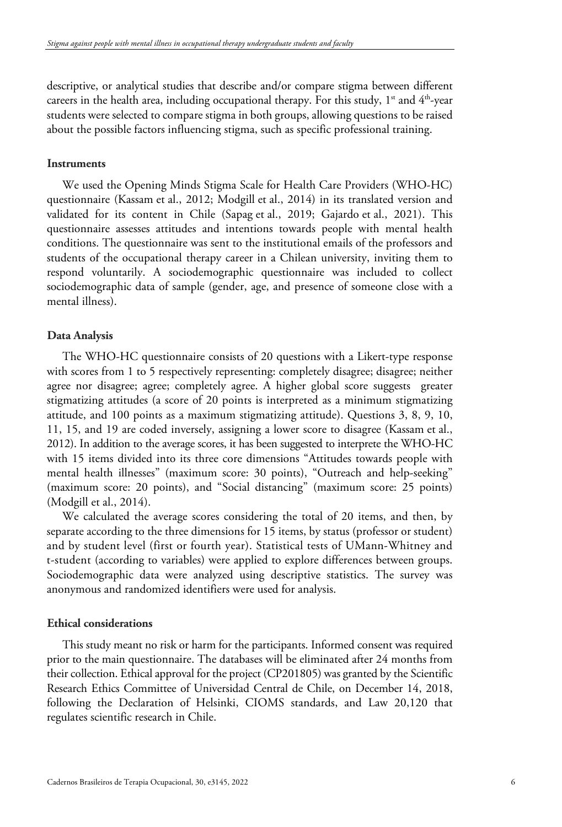descriptive, or analytical studies that describe and/or compare stigma between different careers in the health area, including occupational therapy. For this study,  $1<sup>st</sup>$  and  $4<sup>th</sup>$ -year students were selected to compare stigma in both groups, allowing questions to be raised about the possible factors influencing stigma, such as specific professional training.

#### **Instruments**

We used the Opening Minds Stigma Scale for Health Care Providers (WHO-HC) questionnaire (Kassam et al., 2012; Modgill et al., 2014) in its translated version and validated for its content in Chile (Sapag et al., 2019; Gajardo et al., 2021). This questionnaire assesses attitudes and intentions towards people with mental health conditions. The questionnaire was sent to the institutional emails of the professors and students of the occupational therapy career in a Chilean university, inviting them to respond voluntarily. A sociodemographic questionnaire was included to collect sociodemographic data of sample (gender, age, and presence of someone close with a mental illness).

#### **Data Analysis**

The WHO-HC questionnaire consists of 20 questions with a Likert-type response with scores from 1 to 5 respectively representing: completely disagree; disagree; neither agree nor disagree; agree; completely agree. A higher global score suggests greater stigmatizing attitudes (a score of 20 points is interpreted as a minimum stigmatizing attitude, and 100 points as a maximum stigmatizing attitude). Questions 3, 8, 9, 10, 11, 15, and 19 are coded inversely, assigning a lower score to disagree (Kassam et al., 2012). In addition to the average scores, it has been suggested to interprete the WHO-HC with 15 items divided into its three core dimensions "Attitudes towards people with mental health illnesses" (maximum score: 30 points), "Outreach and help-seeking" (maximum score: 20 points), and "Social distancing" (maximum score: 25 points) (Modgill et al., 2014).

We calculated the average scores considering the total of 20 items, and then, by separate according to the three dimensions for 15 items, by status (professor or student) and by student level (first or fourth year). Statistical tests of UMann-Whitney and t-student (according to variables) were applied to explore differences between groups. Sociodemographic data were analyzed using descriptive statistics. The survey was anonymous and randomized identifiers were used for analysis.

#### **Ethical considerations**

This study meant no risk or harm for the participants. Informed consent was required prior to the main questionnaire. The databases will be eliminated after 24 months from their collection. Ethical approval for the project (CP201805) was granted by the Scientific Research Ethics Committee of Universidad Central de Chile, on December 14, 2018, following the Declaration of Helsinki, CIOMS standards, and Law 20,120 that regulates scientific research in Chile.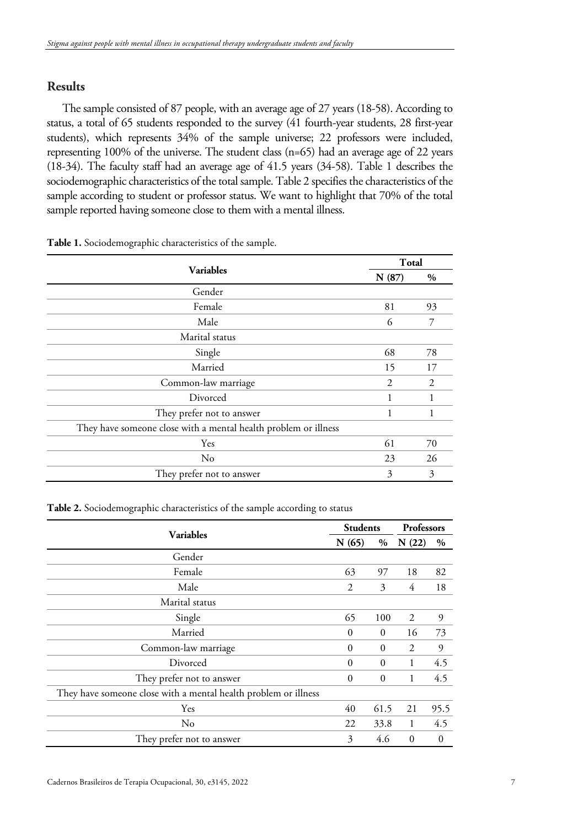### **Results**

The sample consisted of 87 people, with an average age of 27 years (18-58). According to status, a total of 65 students responded to the survey (41 fourth-year students, 28 first-year students), which represents 34% of the sample universe; 22 professors were included, representing 100% of the universe. The student class (n=65) had an average age of 22 years (18-34). The faculty staff had an average age of 41.5 years (34-58). Table 1 describes the sociodemographic characteristics of the total sample. Table 2 specifies the characteristics of the sample according to student or professor status. We want to highlight that 70% of the total sample reported having someone close to them with a mental illness.

| <b>Variables</b>                                                | Total |               |
|-----------------------------------------------------------------|-------|---------------|
|                                                                 | N(87) | $\frac{0}{0}$ |
| Gender                                                          |       |               |
| Female                                                          | 81    | 93            |
| Male                                                            | 6     | 7             |
| Marital status                                                  |       |               |
| Single                                                          | 68    | 78            |
| Married                                                         | 15    | 17            |
| Common-law marriage                                             | 2     | 2             |
| Divorced                                                        |       |               |
| They prefer not to answer                                       | 1     | 1             |
| They have someone close with a mental health problem or illness |       |               |
| Yes                                                             | 61    | 70            |
| No                                                              | 23    | 26            |
| They prefer not to answer                                       | 3     | 3             |

**Table 1.** Sociodemographic characteristics of the sample.

#### **Table 2.** Sociodemographic characteristics of the sample according to status

| <b>Variables</b>                                                | <b>Students</b> |              | Professors   |                |
|-----------------------------------------------------------------|-----------------|--------------|--------------|----------------|
|                                                                 | N(65)<br>$\%$   |              | N(22)        | $\%$           |
| Gender                                                          |                 |              |              |                |
| Female                                                          | 63              | 97           | 18           | 82             |
| Male                                                            | 2               | 3            | 4            | 18             |
| Marital status                                                  |                 |              |              |                |
| Single                                                          | 65              | 100          | 2            | 9              |
| Married                                                         | $\mathbf{0}$    | $\mathbf{0}$ | 16           | 73             |
| Common-law marriage                                             | $\theta$        | $\mathbf{0}$ | 2            | 9              |
| Divorced                                                        | $\theta$        | $\theta$     | 1            | 4.5            |
| They prefer not to answer                                       | $\mathbf{0}$    | $\mathbf{0}$ | 1            | 4.5            |
| They have someone close with a mental health problem or illness |                 |              |              |                |
| Yes                                                             | 40              | 61.5         | 21           | 95.5           |
| No                                                              | 22              | 33.8         | 1            | 4.5            |
| They prefer not to answer                                       | 3               | 4.6          | $\mathbf{0}$ | $\overline{0}$ |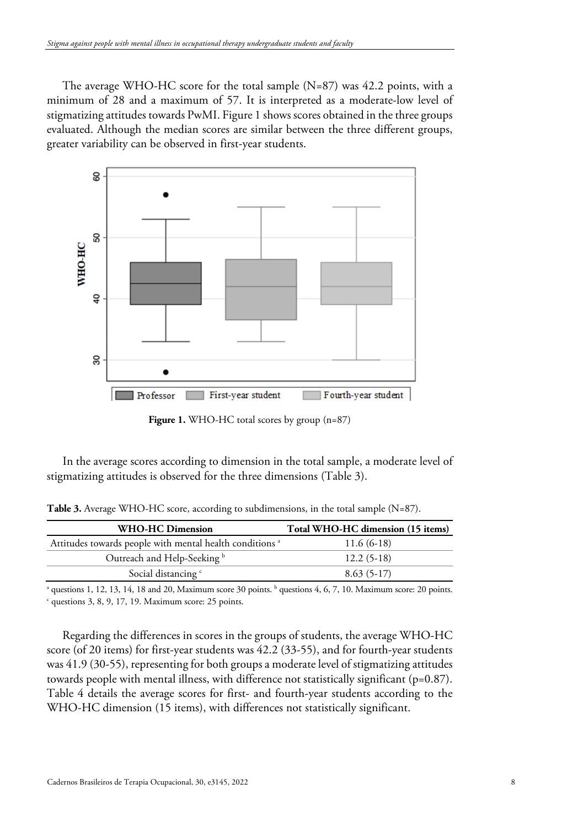The average WHO-HC score for the total sample  $(N=87)$  was 42.2 points, with a minimum of 28 and a maximum of 57. It is interpreted as a moderate-low level of stigmatizing attitudes towards PwMI. Figure 1 shows scores obtained in the three groups evaluated. Although the median scores are similar between the three different groups, greater variability can be observed in first-year students.



**Figure 1.** WHO-HC total scores by group (n=87)

In the average scores according to dimension in the total sample, a moderate level of stigmatizing attitudes is observed for the three dimensions (Table 3).

Table 3. Average WHO-HC score, according to subdimensions, in the total sample (N=87).

| <b>WHO-HC Dimension</b>                                             | Total WHO-HC dimension (15 items) |
|---------------------------------------------------------------------|-----------------------------------|
| Attitudes towards people with mental health conditions <sup>a</sup> | $11.6(6-18)$                      |
| Outreach and Help-Seeking <sup>b</sup>                              | $12.2(5-18)$                      |
| Social distancing <sup>c</sup>                                      | $8.63(5-17)$                      |
|                                                                     |                                   |

<sup>a</sup> questions 1, 12, 13, 14, 18 and 20, Maximum score 30 points. <sup>b</sup> questions 4, 6, 7, 10. Maximum score: 20 points.  $c$  questions 3, 8, 9, 17, 19. Maximum score: 25 points.

Regarding the differences in scores in the groups of students, the average WHO-HC score (of 20 items) for first-year students was 42.2 (33-55), and for fourth-year students was 41.9 (30-55), representing for both groups a moderate level of stigmatizing attitudes towards people with mental illness, with difference not statistically significant ( $p=0.87$ ). Table 4 details the average scores for first- and fourth-year students according to the WHO-HC dimension (15 items), with differences not statistically significant.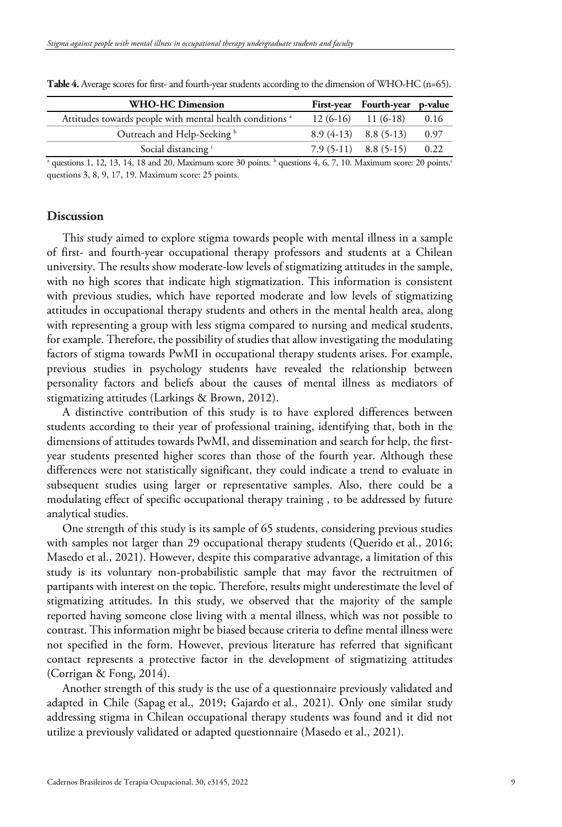| WHO-HC Dimension                                                    | First-year Fourth-year p-value |      |
|---------------------------------------------------------------------|--------------------------------|------|
| Attitudes towards people with mental health conditions <sup>a</sup> | $12(6-16)$ $11(6-18)$          | 0.16 |
| Outreach and Help-Seeking <sup>b</sup>                              | $8.9(4-13)$ $8.8(5-13)$        | 0.97 |
| Social distancing <sup>c</sup>                                      | $7.9(5-11)$ $8.8(5-15)$ $0.22$ |      |

**Table 4.** Average scores for first- and fourth-year students according to the dimension of WHO-HC (n=65).

<sup>a</sup> questions 1, 12, 13, 14, 18 and 20, Maximum score 30 points.  $\frac{1}{2}$  questions 4, 6, 7, 10. Maximum score: 20 points. questions 3, 8, 9, 17, 19. Maximum score: 25 points.

#### **Discussion**

This study aimed to explore stigma towards people with mental illness in a sample of first- and fourth-year occupational therapy professors and students at a Chilean university. The results show moderate-low levels of stigmatizing attitudes in the sample, with no high scores that indicate high stigmatization. This information is consistent with previous studies, which have reported moderate and low levels of stigmatizing attitudes in occupational therapy students and others in the mental health area, along with representing a group with less stigma compared to nursing and medical students, for example. Therefore, the possibility of studies that allow investigating the modulating factors of stigma towards PwMI in occupational therapy students arises. For example, previous studies in psychology students have revealed the relationship between personality factors and beliefs about the causes of mental illness as mediators of stigmatizing attitudes (Larkings & Brown, 2012).

A distinctive contribution of this study is to have explored differences between students according to their year of professional training, identifying that, both in the dimensions of attitudes towards PwMI, and dissemination and search for help, the firstyear students presented higher scores than those of the fourth year. Although these differences were not statistically significant, they could indicate a trend to evaluate in subsequent studies using larger or representative samples. Also, there could be a modulating effect of specific occupational therapy training , to be addressed by future analytical studies.

One strength of this study is its sample of 65 students, considering previous studies with samples not larger than 29 occupational therapy students (Querido et al., 2016; Masedo et al., 2021). However, despite this comparative advantage, a limitation of this study is its voluntary non-probabilistic sample that may favor the rectruitmen of partipants with interest on the topic. Therefore, results might underestimate the level of stigmatizing attitudes. In this study, we observed that the majority of the sample reported having someone close living with a mental illness, which was not possible to contrast. This information might be biased because criteria to define mental illness were not specified in the form. However, previous literature has referred that significant contact represents a protective factor in the development of stigmatizing attitudes (Corrigan & Fong, 2014).

Another strength of this study is the use of a questionnaire previously validated and adapted in Chile (Sapag et al., 2019; Gajardo et al., 2021). Only one similar study addressing stigma in Chilean occupational therapy students was found and it did not utilize a previously validated or adapted questionnaire (Masedo et al., 2021).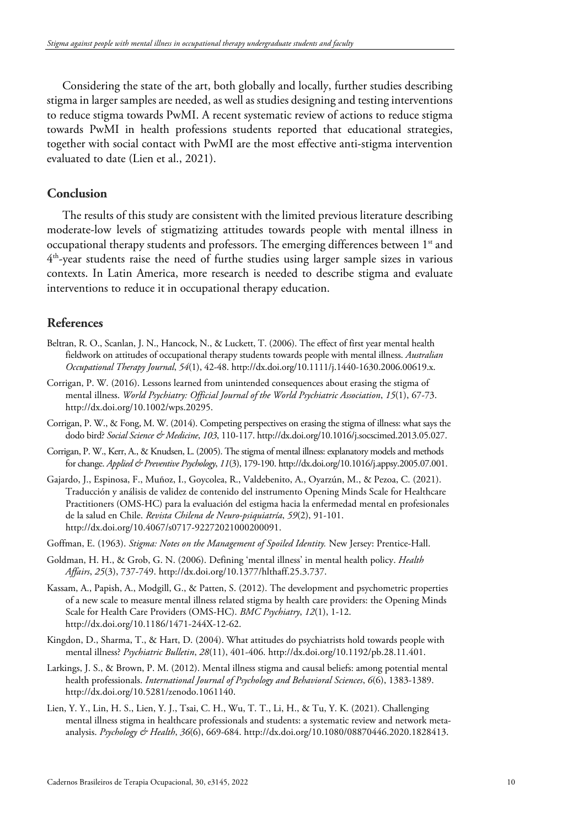Considering the state of the art, both globally and locally, further studies describing stigma in larger samples are needed, as well as studies designing and testing interventions to reduce stigma towards PwMI. A recent systematic review of actions to reduce stigma towards PwMI in health professions students reported that educational strategies, together with social contact with PwMI are the most effective anti-stigma intervention evaluated to date (Lien et al., 2021).

#### **Conclusion**

The results of this study are consistent with the limited previous literature describing moderate-low levels of stigmatizing attitudes towards people with mental illness in occupational therapy students and professors. The emerging differences between 1<sup>st</sup> and  $4<sup>th</sup>$ -year students raise the need of furthe studies using larger sample sizes in various contexts. In Latin America, more research is needed to describe stigma and evaluate interventions to reduce it in occupational therapy education.

#### **References**

- Beltran, R. O., Scanlan, J. N., Hancock, N., & Luckett, T. (2006). The effect of first year mental health fieldwork on attitudes of occupational therapy students towards people with mental illness. *Australian Occupational Therapy Journal*, *54*(1), 42-48. http://dx.doi.org/10.1111/j.1440-1630.2006.00619.x.
- Corrigan, P. W. (2016). Lessons learned from unintended consequences about erasing the stigma of mental illness. *World Psychiatry: Official Journal of the World Psychiatric Association*, *15*(1), 67-73. http://dx.doi.org/10.1002/wps.20295.
- Corrigan, P. W., & Fong, M. W. (2014). Competing perspectives on erasing the stigma of illness: what says the dodo bird? *Social Science & Medicine*, *103*, 110-117. http://dx.doi.org/10.1016/j.socscimed.2013.05.027.
- Corrigan, P. W., Kerr, A., & Knudsen, L. (2005). The stigma of mental illness: explanatory models and methods for change. *Applied & Preventive Psychology*, *11*(3), 179-190. http://dx.doi.org/10.1016/j.appsy.2005.07.001.
- Gajardo, J., Espinosa, F., Muñoz, I., Goycolea, R., Valdebenito, A., Oyarzún, M., & Pezoa, C. (2021). Traducción y análisis de validez de contenido del instrumento Opening Minds Scale for Healthcare Practitioners (OMS-HC) para la evaluación del estigma hacia la enfermedad mental en profesionales de la salud en Chile. *Revista Chilena de Neuro-psiquiatría*, *59*(2), 91-101. http://dx.doi.org/10.4067/s0717-92272021000200091.
- Goffman, E. (1963). *Stigma: Notes on the Management of Spoiled Identity.* New Jersey: Prentice-Hall.
- Goldman, H. H., & Grob, G. N. (2006). Defining 'mental illness' in mental health policy. *Health Affairs*, *25*(3), 737-749. http://dx.doi.org/10.1377/hlthaff.25.3.737.
- Kassam, A., Papish, A., Modgill, G., & Patten, S. (2012). The development and psychometric properties of a new scale to measure mental illness related stigma by health care providers: the Opening Minds Scale for Health Care Providers (OMS-HC). *BMC Psychiatry*, *12*(1), 1-12. http://dx.doi.org/10.1186/1471-244X-12-62.
- Kingdon, D., Sharma, T., & Hart, D. (2004). What attitudes do psychiatrists hold towards people with mental illness? *Psychiatric Bulletin*, *28*(11), 401-406. http://dx.doi.org/10.1192/pb.28.11.401.
- <span id="page-9-0"></span>Larkings, J. S., & Brown, P. M. (2012). Mental illness stigma and causal beliefs: among potential mental health professionals. *International Journal of Psychology and Behavioral Sciences*, *6*(6), 1383-1389. http://dx.doi.org/10.5281/zenodo.1061140.
- Lien, Y. Y., Lin, H. S., Lien, Y. J., Tsai, C. H., Wu, T. T., Li, H., & Tu, Y. K. (2021). Challenging mental illness stigma in healthcare professionals and students: a systematic review and network metaanalysis. *Psychology & Health*, *36*(6), 669-684. http://dx.doi.org/10.1080/08870446.2020.1828413.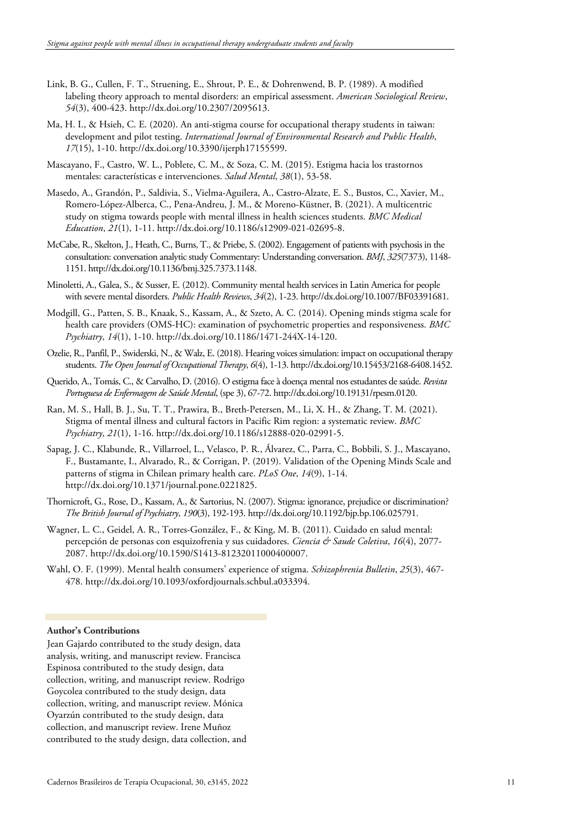- Link, B. G., Cullen, F. T., Struening, E., Shrout, P. E., & Dohrenwend, B. P. (1989). A modified labeling theory approach to mental disorders: an empirical assessment. *American Sociological Review*, *54*(3), 400-423. http://dx.doi.org/10.2307/2095613.
- Ma, H. I., & Hsieh, C. E. (2020). An anti-stigma course for occupational therapy students in taiwan: development and pilot testing. *International Journal of Environmental Research and Public Health*, *17*(15), 1-10. http://dx.doi.org/10.3390/ijerph17155599.
- Mascayano, F., Castro, W. L., Poblete, C. M., & Soza, C. M. (2015). Estigma hacia los trastornos mentales: características e intervenciones. *Salud Mental*, *38*(1), 53-58.
- Masedo, A., Grandón, P., Saldivia, S., Vielma-Aguilera, A., Castro-Alzate, E. S., Bustos, C., Xavier, M., Romero-López-Alberca, C., Pena-Andreu, J. M., & Moreno-Küstner, B. (2021). A multicentric study on stigma towards people with mental illness in health sciences students. *BMC Medical Education*, *21*(1), 1-11. http://dx.doi.org/10.1186/s12909-021-02695-8.
- McCabe, R., Skelton, J., Heath, C., Burns, T., & Priebe, S. (2002). Engagement of patients with psychosis in the consultation: conversation analytic study Commentary: Understanding conversation. *BMJ*, *325*(7373), 1148- 1151. http://dx.doi.org/10.1136/bmj.325.7373.1148.
- Minoletti, A., Galea, S., & Susser, E. (2012). Community mental health services in Latin America for people with severe mental disorders. *Public Health Reviews*, *34*(2), 1-23. http://dx.doi.org/10.1007/BF03391681.
- Modgill, G., Patten, S. B., Knaak, S., Kassam, A., & Szeto, A. C. (2014). Opening minds stigma scale for health care providers (OMS-HC): examination of psychometric properties and responsiveness. *BMC Psychiatry*, *14*(1), 1-10. http://dx.doi.org/10.1186/1471-244X-14-120.
- Ozelie, R., Panfil, P., Swiderski, N., & Walz, E. (2018). Hearing voices simulation: impact on occupational therapy students. *The Open Journal of Occupational Therapy*, *6*(4), 1-13. http://dx.doi.org/10.15453/2168-6408.1452.
- Querido, A., Tomás, C., & Carvalho, D. (2016). O estigma face à doença mental nos estudantes de saúde. *Revista Portuguesa de Enfermagem de Saúde Mental*, (spe 3), 67-72. http://dx.doi.org/10.19131/rpesm.0120.
- Ran, M. S., Hall, B. J., Su, T. T., Prawira, B., Breth-Petersen, M., Li, X. H., & Zhang, T. M. (2021). Stigma of mental illness and cultural factors in Pacific Rim region: a systematic review. *BMC Psychiatry*, *21*(1), 1-16. http://dx.doi.org/10.1186/s12888-020-02991-5.
- Sapag, J. C., Klabunde, R., Villarroel, L., Velasco, P. R., Álvarez, C., Parra, C., Bobbili, S. J., Mascayano, F., Bustamante, I., Alvarado, R., & Corrigan, P. (2019). Validation of the Opening Minds Scale and patterns of stigma in Chilean primary health care. *PLoS One*, *14*(9), 1-14. http://dx.doi.org/10.1371/journal.pone.0221825.
- Thornicroft, G., Rose, D., Kassam, A., & Sartorius, N. (2007). Stigma: ignorance, prejudice or discrimination? *The British Journal of Psychiatry*, *190*(3), 192-193. http://dx.doi.org/10.1192/bjp.bp.106.025791.
- Wagner, L. C., Geidel, A. R., Torres-González, F., & King, M. B. (2011). Cuidado en salud mental: percepción de personas con esquizofrenia y sus cuidadores. *Ciencia & Saude Coletiva*, *16*(4), 2077- 2087. http://dx.doi.org/10.1590/S1413-81232011000400007.
- Wahl, O. F. (1999). Mental health consumers' experience of stigma. *Schizophrenia Bulletin*, *25*(3), 467- 478. http://dx.doi.org/10.1093/oxfordjournals.schbul.a033394.

#### **Author's Contributions**

Jean Gajardo contributed to the study design, data analysis, writing, and manuscript review. Francisca Espinosa contributed to the study design, data collection, writing, and manuscript review. Rodrigo Goycolea contributed to the study design, data collection, writing, and manuscript review. Mónica Oyarzún contributed to the study design, data collection, and manuscript review. Irene Muñoz contributed to the study design, data collection, and